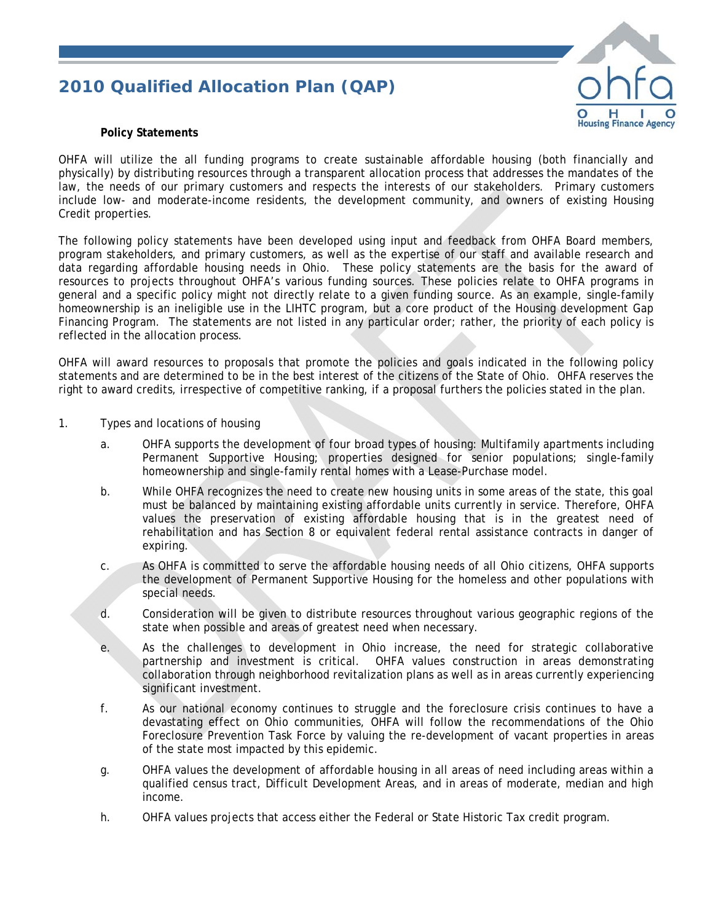## *2010 Qualified Allocation Plan (QAP)*



## **Policy Statements**

OHFA will utilize the all funding programs to create sustainable affordable housing (both financially and physically) by distributing resources through a transparent allocation process that addresses the mandates of the law, the needs of our primary customers and respects the interests of our stakeholders. Primary customers include low- and moderate-income residents, the development community, and owners of existing Housing Credit properties.

The following policy statements have been developed using input and feedback from OHFA Board members, program stakeholders, and primary customers, as well as the expertise of our staff and available research and data regarding affordable housing needs in Ohio. These policy statements are the basis for the award of resources to projects throughout OHFA's various funding sources. These policies relate to OHFA programs in general and a specific policy might not directly relate to a given funding source. As an example, single-family homeownership is an ineligible use in the LIHTC program, but a core product of the Housing development Gap Financing Program. The statements are not listed in any particular order; rather, the priority of each policy is reflected in the allocation process.

OHFA will award resources to proposals that promote the policies and goals indicated in the following policy statements and are determined to be in the best interest of the citizens of the State of Ohio. OHFA reserves the right to award credits, irrespective of competitive ranking, if a proposal furthers the policies stated in the plan.

- 1. Types and locations of housing
	- a. OHFA supports the development of four broad types of housing: Multifamily apartments including Permanent Supportive Housing; properties designed for senior populations; single-family homeownership and single-family rental homes with a Lease-Purchase model.
	- b. While OHFA recognizes the need to create new housing units in some areas of the state, this goal must be balanced by maintaining existing affordable units currently in service. Therefore, OHFA values the preservation of existing affordable housing that is in the greatest need of rehabilitation and has Section 8 or equivalent federal rental assistance contracts in danger of expiring.
	- c. As OHFA is committed to serve the affordable housing needs of all Ohio citizens, OHFA supports the development of Permanent Supportive Housing for the homeless and other populations with special needs.
	- d. Consideration will be given to distribute resources throughout various geographic regions of the state when possible and areas of greatest need when necessary.
	- e. As the challenges to development in Ohio increase, the need for strategic collaborative partnership and investment is critical. OHFA values construction in areas demonstrating collaboration through neighborhood revitalization plans as well as in areas currently experiencing significant investment.
	- f. As our national economy continues to struggle and the foreclosure crisis continues to have a devastating effect on Ohio communities, OHFA will follow the recommendations of the Ohio Foreclosure Prevention Task Force by valuing the re-development of vacant properties in areas of the state most impacted by this epidemic.
	- g. OHFA values the development of affordable housing in all areas of need including areas within a qualified census tract, Difficult Development Areas, and in areas of moderate, median and high income.
	- h. OHFA values projects that access either the Federal or State Historic Tax credit program.